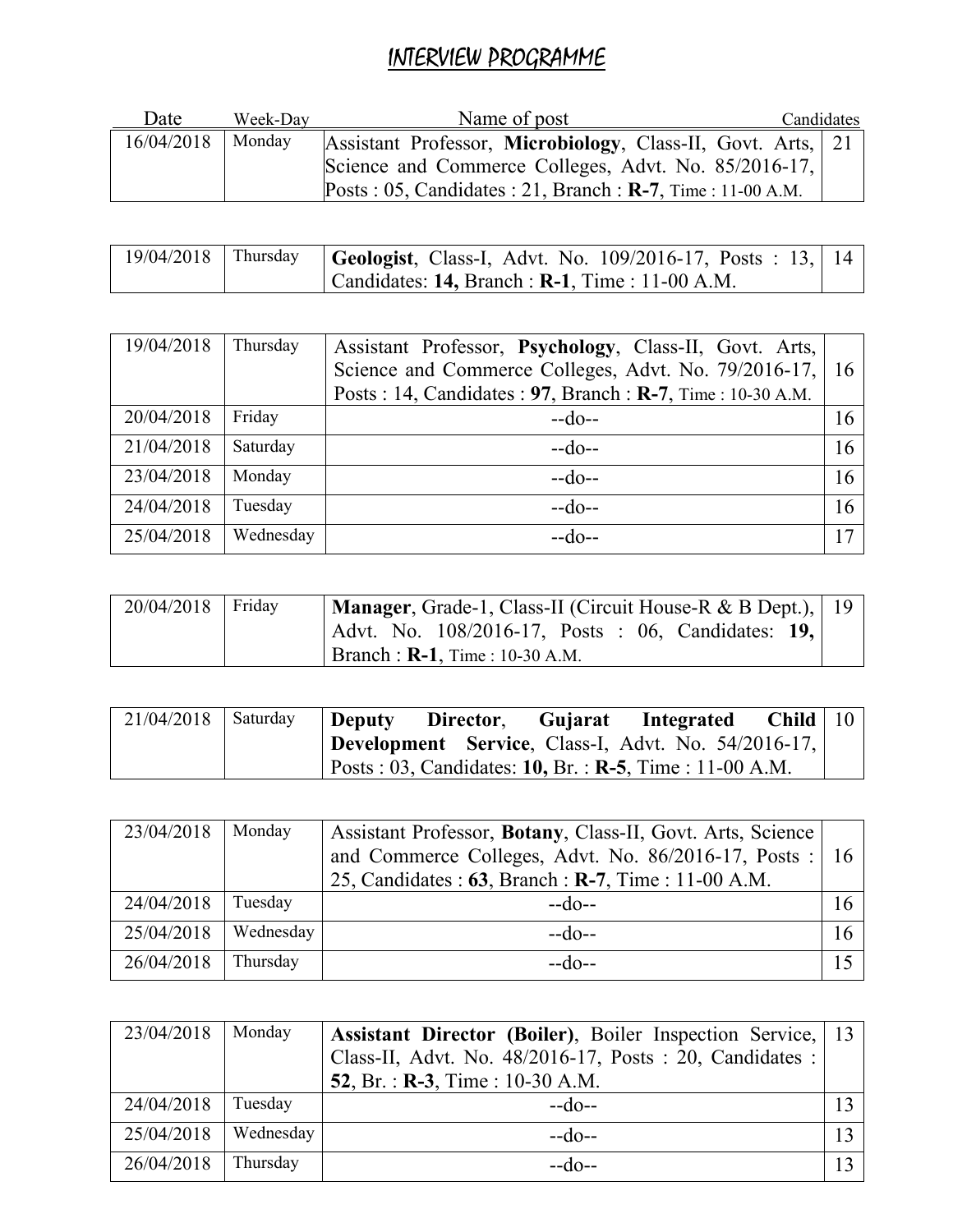## INTERVIEW PROGRAMME

| Date       | Week-Dav | Name of post                                                           | Candidates |  |
|------------|----------|------------------------------------------------------------------------|------------|--|
| 16/04/2018 | Monday   | Assistant Professor, Microbiology, Class-II, Govt. Arts, 21            |            |  |
|            |          | Science and Commerce Colleges, Advt. No. 85/2016-17,                   |            |  |
|            |          | Posts: $05$ , Candidates: $21$ , Branch: <b>R-7</b> , Time: 11-00 A.M. |            |  |

|  | 19/04/2018   Thursday   Geologist, Class-I, Advt. No. 109/2016-17, Posts: 13,   14 |  |
|--|------------------------------------------------------------------------------------|--|
|  | Candidates: 14, Branch : $R-1$ , Time : 11-00 A.M.                                 |  |

| 19/04/2018 | Thursday  | Assistant Professor, Psychology, Class-II, Govt. Arts,<br>Science and Commerce Colleges, Advt. No. 79/2016-17,<br>Posts: 14, Candidates: 97, Branch: R-7, Time: 10-30 A.M. | 16 |
|------------|-----------|----------------------------------------------------------------------------------------------------------------------------------------------------------------------------|----|
| 20/04/2018 | Friday    | $-do-$                                                                                                                                                                     | 16 |
| 21/04/2018 | Saturday  | $-do-$                                                                                                                                                                     | 16 |
| 23/04/2018 | Monday    | $-do-$                                                                                                                                                                     | 16 |
| 24/04/2018 | Tuesday   | $-do-$                                                                                                                                                                     | 16 |
| 25/04/2018 | Wednesday | --do--                                                                                                                                                                     | 17 |

| $20/04/2018$ Friday | Manager, Grade-1, Class-II (Circuit House-R & B Dept.),   19 |
|---------------------|--------------------------------------------------------------|
|                     | Advt. No. 108/2016-17, Posts : 06, Candidates: 19,           |
|                     | <b>Branch : R-1,</b> Time : 10-30 A.M.                       |

| $21/04/2018$ Saturday | <b>Deputy</b> | Director, Gujarat | Integrated                                                       | Child   $10$ |  |
|-----------------------|---------------|-------------------|------------------------------------------------------------------|--------------|--|
|                       |               |                   | <b>Development</b> Service, Class-I, Advt. No. 54/2016-17,       |              |  |
|                       |               |                   | $\vert$ Posts : 03, Candidates: 10, Br. : R-5, Time : 11-00 A.M. |              |  |

| 23/04/2018 | Monday    | Assistant Professor, Botany, Class-II, Govt. Arts, Science<br>and Commerce Colleges, Advt. No. 86/2016-17, Posts : 16<br>25, Candidates: 63, Branch: R-7, Time: 11-00 A.M. |  |
|------------|-----------|----------------------------------------------------------------------------------------------------------------------------------------------------------------------------|--|
| 24/04/2018 | Tuesday   | $-$ do--                                                                                                                                                                   |  |
| 25/04/2018 | Wednesday | $-do-$                                                                                                                                                                     |  |
| 26/04/2018 | Thursday  | --do--                                                                                                                                                                     |  |

| 23/04/2018 | Monday    | <b>Assistant Director (Boiler)</b> , Boiler Inspection Service, 13<br>Class-II, Advt. No. 48/2016-17, Posts: 20, Candidates:<br>52, Br. : $R-3$ , Time : 10-30 A.M. |  |
|------------|-----------|---------------------------------------------------------------------------------------------------------------------------------------------------------------------|--|
| 24/04/2018 | Tuesday   | $-do-$                                                                                                                                                              |  |
| 25/04/2018 | Wednesday | $-do-$                                                                                                                                                              |  |
| 26/04/2018 | Thursday  | $-do-$                                                                                                                                                              |  |